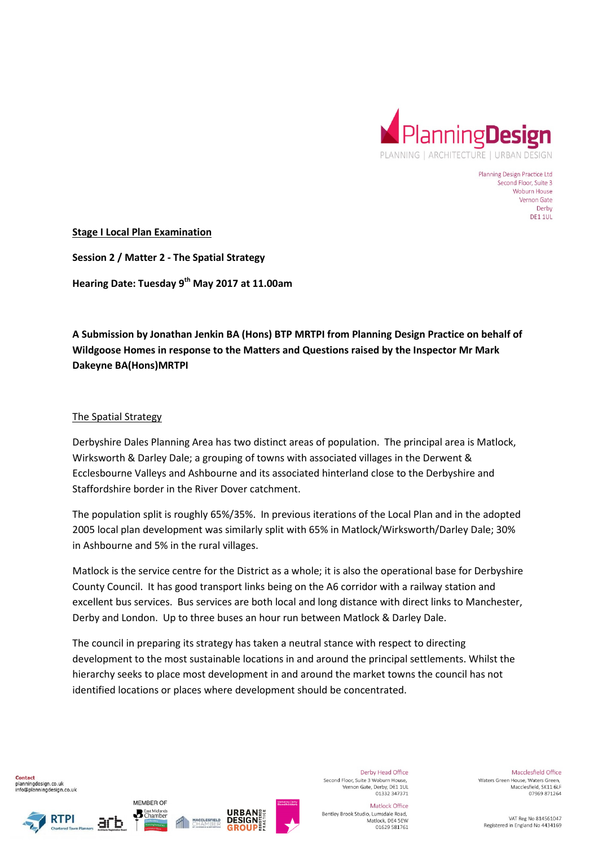

Planning Design Practice Ltd Second Floor, Suite 3 Woburn House Vernon Gate Derby **DE1 1UL** 

**Stage I Local Plan Examination** 

**Session 2 / Matter 2 - The Spatial Strategy Hearing Date: Tuesday 9th May 2017 at 11.00am** 

**A Submission by Jonathan Jenkin BA (Hons) BTP MRTPI from Planning Design Practice on behalf of Wildgoose Homes in response to the Matters and Questions raised by the Inspector Mr Mark Dakeyne BA(Hons)MRTPI** 

### The Spatial Strategy

Derbyshire Dales Planning Area has two distinct areas of population. The principal area is Matlock, Wirksworth & Darley Dale; a grouping of towns with associated villages in the Derwent & Ecclesbourne Valleys and Ashbourne and its associated hinterland close to the Derbyshire and Staffordshire border in the River Dover catchment.

The population split is roughly 65%/35%. In previous iterations of the Local Plan and in the adopted 2005 local plan development was similarly split with 65% in Matlock/Wirksworth/Darley Dale; 30% in Ashbourne and 5% in the rural villages.

Matlock is the service centre for the District as a whole; it is also the operational base for Derbyshire County Council. It has good transport links being on the A6 corridor with a railway station and excellent bus services. Bus services are both local and long distance with direct links to Manchester, Derby and London. Up to three buses an hour run between Matlock & Darley Dale.

The council in preparing its strategy has taken a neutral stance with respect to directing development to the most sustainable locations in and around the principal settlements. Whilst the hierarchy seeks to place most development in and around the market towns the council has not identified locations or places where development should be concentrated.

Contact planningdesign.co.uk info@planningdesign.co.uk





MEMBER OF

**B** East Midlands



Derby Head Office Second Floor, Suite 3 Woburn House. Vernon Gate, Derby, DE1 1UL<br>01332 347371

Matlock Office Bentley Brook Studio, Lumsdale Road, Matlock, DE4 5EW 01629 581761

Macclesfield Office Waters Green House, Waters Green. Macclesfield, SK11 6LF 07969 871264

VAT Reg No 814561047 Registered in England No 4434169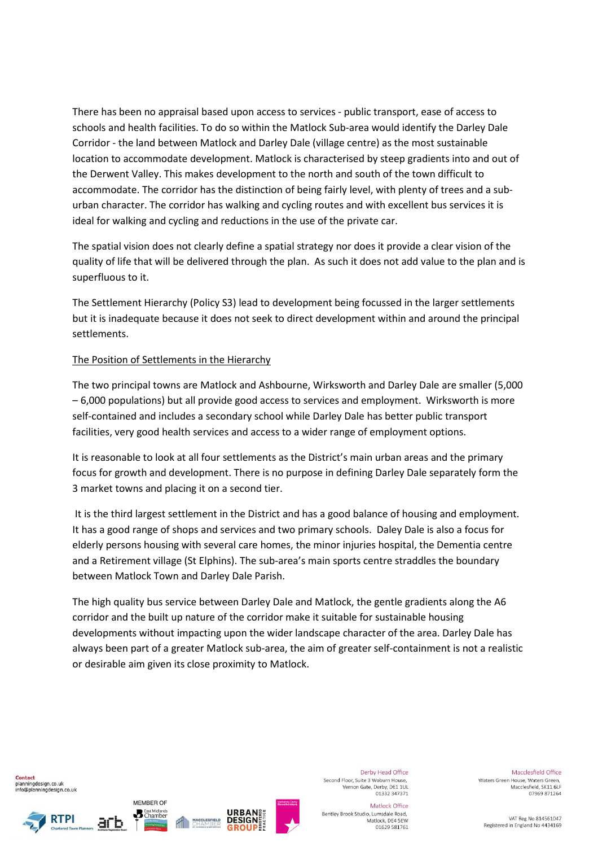There has been no appraisal based upon access to services - public transport, ease of access to schools and health facilities. To do so within the Matlock Sub-area would identify the Darley Dale Corridor - the land between Matlock and Darley Dale (village centre) as the most sustainable location to accommodate development. Matlock is characterised by steep gradients into and out of the Derwent Valley. This makes development to the north and south of the town difficult to accommodate. The corridor has the distinction of being fairly level, with plenty of trees and a suburban character. The corridor has walking and cycling routes and with excellent bus services it is ideal for walking and cycling and reductions in the use of the private car.

The spatial vision does not clearly define a spatial strategy nor does it provide a clear vision of the quality of life that will be delivered through the plan. As such it does not add value to the plan and is superfluous to it.

The Settlement Hierarchy (Policy S3) lead to development being focussed in the larger settlements but it is inadequate because it does not seek to direct development within and around the principal settlements.

## The Position of Settlements in the Hierarchy

The two principal towns are Matlock and Ashbourne, Wirksworth and Darley Dale are smaller (5,000 – 6,000 populations) but all provide good access to services and employment. Wirksworth is more self-contained and includes a secondary school while Darley Dale has better public transport facilities, very good health services and access to a wider range of employment options.

It is reasonable to look at all four settlements as the District's main urban areas and the primary focus for growth and development. There is no purpose in defining Darley Dale separately form the 3 market towns and placing it on a second tier.

 It is the third largest settlement in the District and has a good balance of housing and employment. It has a good range of shops and services and two primary schools. Daley Dale is also a focus for elderly persons housing with several care homes, the minor injuries hospital, the Dementia centre and a Retirement village (St Elphins). The sub-area's main sports centre straddles the boundary between Matlock Town and Darley Dale Parish.

The high quality bus service between Darley Dale and Matlock, the gentle gradients along the A6 corridor and the built up nature of the corridor make it suitable for sustainable housing developments without impacting upon the wider landscape character of the area. Darley Dale has always been part of a greater Matlock sub-area, the aim of greater self-containment is not a realistic or desirable aim given its close proximity to Matlock.

Contact planningdesign.co.uk info@planningdesign.co.uk





MEMBER OF

**B** East Midlands



Derby Head Office Second Floor, Suite 3 Woburn House. Vernon Gate, Derby, DE1 1UL<br>01332 347371

Bentley Brook Studio, Lumsdale Road,

Matlock Office

Matlock, DE4 5EW

01629 581761

Macclesfield Office Waters Green House, Waters Green. Macclesfield, SK11 6LF 07969 871264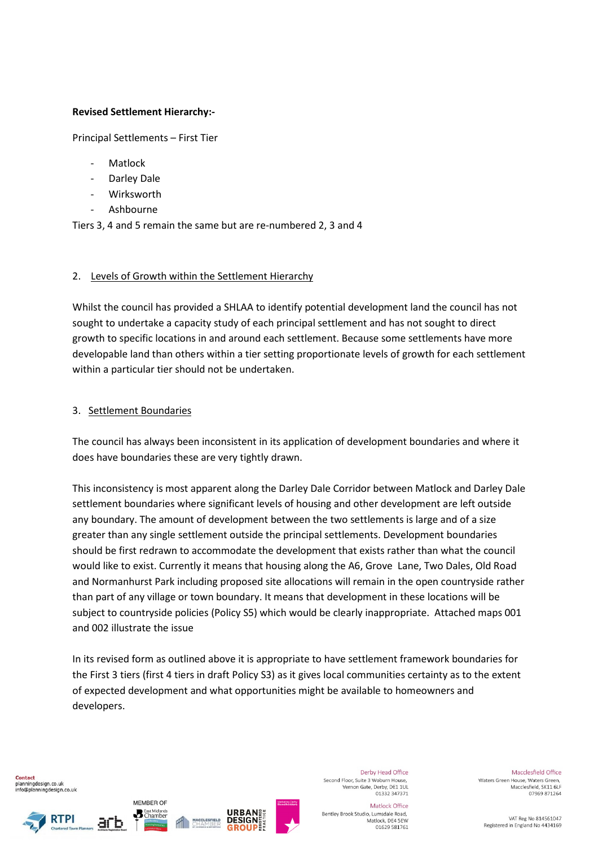## **Revised Settlement Hierarchy:-**

Principal Settlements – First Tier

- **Matlock**
- Darley Dale
- **Wirksworth**
- Ashhourne

Tiers 3, 4 and 5 remain the same but are re-numbered 2, 3 and 4

#### 2. Levels of Growth within the Settlement Hierarchy

Whilst the council has provided a SHLAA to identify potential development land the council has not sought to undertake a capacity study of each principal settlement and has not sought to direct growth to specific locations in and around each settlement. Because some settlements have more developable land than others within a tier setting proportionate levels of growth for each settlement within a particular tier should not be undertaken.

### 3. Settlement Boundaries

The council has always been inconsistent in its application of development boundaries and where it does have boundaries these are very tightly drawn.

This inconsistency is most apparent along the Darley Dale Corridor between Matlock and Darley Dale settlement boundaries where significant levels of housing and other development are left outside any boundary. The amount of development between the two settlements is large and of a size greater than any single settlement outside the principal settlements. Development boundaries should be first redrawn to accommodate the development that exists rather than what the council would like to exist. Currently it means that housing along the A6, Grove Lane, Two Dales, Old Road and Normanhurst Park including proposed site allocations will remain in the open countryside rather than part of any village or town boundary. It means that development in these locations will be subject to countryside policies (Policy S5) which would be clearly inappropriate. Attached maps 001 and 002 illustrate the issue

In its revised form as outlined above it is appropriate to have settlement framework boundaries for the First 3 tiers (first 4 tiers in draft Policy S3) as it gives local communities certainty as to the extent of expected development and what opportunities might be available to homeowners and developers.

Contact planningdesign.co.uk info@planningdesign.co.uk







Derby Head Office Second Floor, Suite 3 Woburn House. Vernon Gate, Derby, DE1 1UL<br>01332 347371

Bentley Brook Studio, Lumsdale Road,

Matlock Office

Matlock, DE4 5EW

01629 581761

Waters Green House, Waters Green. Macclesfield, SK11 6LF

> VAT Reg No 814561047 Registered in England No 4434169

Macclesfield Office

07969 871264